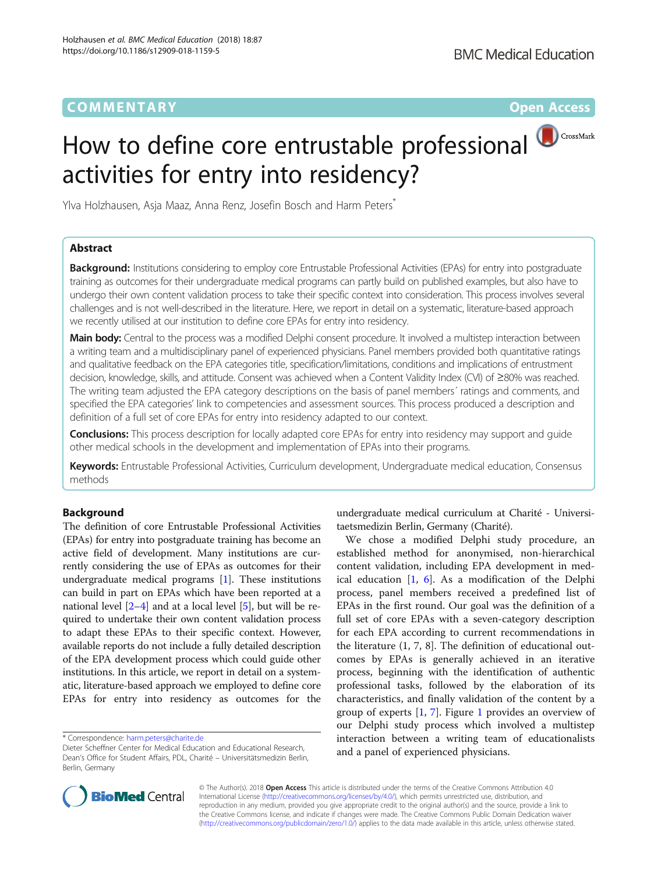# How to define core entrustable professional activities for entry into residency?

Ylva Holzhausen, Asja Maaz, Anna Renz, Josefin Bosch and Harm Peters<sup>\*</sup>

# Abstract

**Background:** Institutions considering to employ core Entrustable Professional Activities (EPAs) for entry into postgraduate training as outcomes for their undergraduate medical programs can partly build on published examples, but also have to undergo their own content validation process to take their specific context into consideration. This process involves several challenges and is not well-described in the literature. Here, we report in detail on a systematic, literature-based approach we recently utilised at our institution to define core EPAs for entry into residency.

Main body: Central to the process was a modified Delphi consent procedure. It involved a multistep interaction between a writing team and a multidisciplinary panel of experienced physicians. Panel members provided both quantitative ratings and qualitative feedback on the EPA categories title, specification/limitations, conditions and implications of entrustment decision, knowledge, skills, and attitude. Consent was achieved when a Content Validity Index (CVI) of ≥80% was reached. The writing team adjusted the EPA category descriptions on the basis of panel members´ ratings and comments, and specified the EPA categories' link to competencies and assessment sources. This process produced a description and definition of a full set of core EPAs for entry into residency adapted to our context.

Conclusions: This process description for locally adapted core EPAs for entry into residency may support and quide other medical schools in the development and implementation of EPAs into their programs.

Keywords: Entrustable Professional Activities, Curriculum development, Undergraduate medical education, Consensus methods

# Background

The definition of core Entrustable Professional Activities (EPAs) for entry into postgraduate training has become an active field of development. Many institutions are currently considering the use of EPAs as outcomes for their undergraduate medical programs [[1\]](#page-3-0). These institutions can build in part on EPAs which have been reported at a national level  $[2-4]$  $[2-4]$  $[2-4]$  and at a local level  $[5]$  $[5]$ , but will be required to undertake their own content validation process to adapt these EPAs to their specific context. However, available reports do not include a fully detailed description of the EPA development process which could guide other institutions. In this article, we report in detail on a systematic, literature-based approach we employed to define core EPAs for entry into residency as outcomes for the

\* Correspondence: [harm.peters@charite.de](mailto:harm.peters@charite.de)

undergraduate medical curriculum at Charité - Universitaetsmedizin Berlin, Germany (Charité).

We chose a modified Delphi study procedure, an established method for anonymised, non-hierarchical content validation, including EPA development in medical education [[1,](#page-3-0) [6\]](#page-3-0). As a modification of the Delphi process, panel members received a predefined list of EPAs in the first round. Our goal was the definition of a full set of core EPAs with a seven-category description for each EPA according to current recommendations in the literature (1, 7, 8]. The definition of educational outcomes by EPAs is generally achieved in an iterative process, beginning with the identification of authentic professional tasks, followed by the elaboration of its characteristics, and finally validation of the content by a group of experts [\[1](#page-3-0), [7](#page-3-0)]. Figure [1](#page-1-0) provides an overview of our Delphi study process which involved a multistep interaction between a writing team of educationalists and a panel of experienced physicians.



© The Author(s). 2018 Open Access This article is distributed under the terms of the Creative Commons Attribution 4.0 International License [\(http://creativecommons.org/licenses/by/4.0/](http://creativecommons.org/licenses/by/4.0/)), which permits unrestricted use, distribution, and reproduction in any medium, provided you give appropriate credit to the original author(s) and the source, provide a link to the Creative Commons license, and indicate if changes were made. The Creative Commons Public Domain Dedication waiver [\(http://creativecommons.org/publicdomain/zero/1.0/](http://creativecommons.org/publicdomain/zero/1.0/)) applies to the data made available in this article, unless otherwise stated.

Dieter Scheffner Center for Medical Education and Educational Research, Dean's Office for Student Affairs, PDL, Charité – Universitätsmedizin Berlin, Berlin, Germany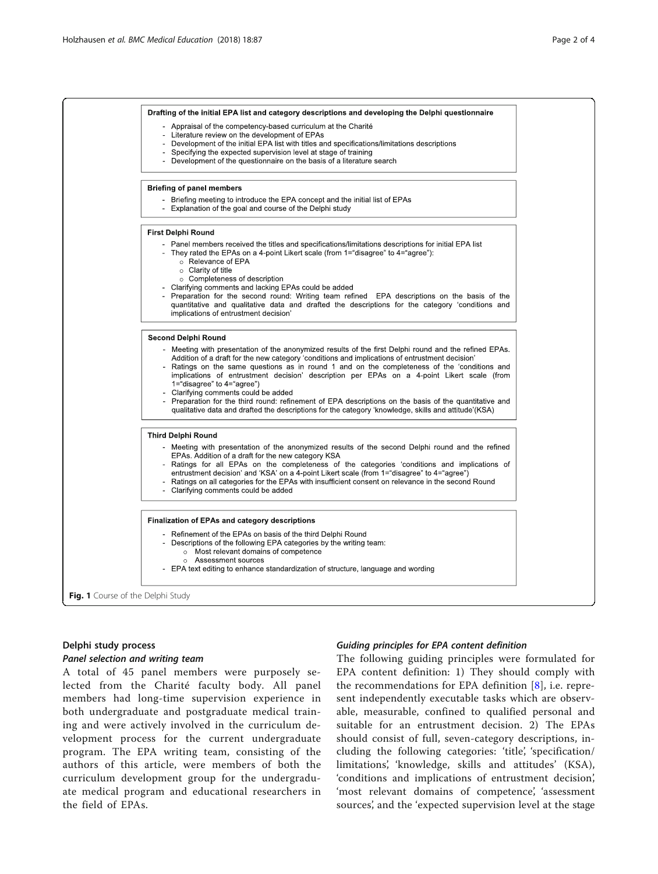<span id="page-1-0"></span>

## Delphi study process

## Panel selection and writing team

A total of 45 panel members were purposely selected from the Charité faculty body. All panel members had long-time supervision experience in both undergraduate and postgraduate medical training and were actively involved in the curriculum development process for the current undergraduate program. The EPA writing team, consisting of the authors of this article, were members of both the curriculum development group for the undergraduate medical program and educational researchers in the field of EPAs.

## Guiding principles for EPA content definition

The following guiding principles were formulated for EPA content definition: 1) They should comply with the recommendations for EPA definition  $[8]$  $[8]$  $[8]$ , i.e. represent independently executable tasks which are observable, measurable, confined to qualified personal and suitable for an entrustment decision. 2) The EPAs should consist of full, seven-category descriptions, including the following categories: 'title', 'specification/ limitations', 'knowledge, skills and attitudes' (KSA), 'conditions and implications of entrustment decision', 'most relevant domains of competence', 'assessment sources', and the 'expected supervision level at the stage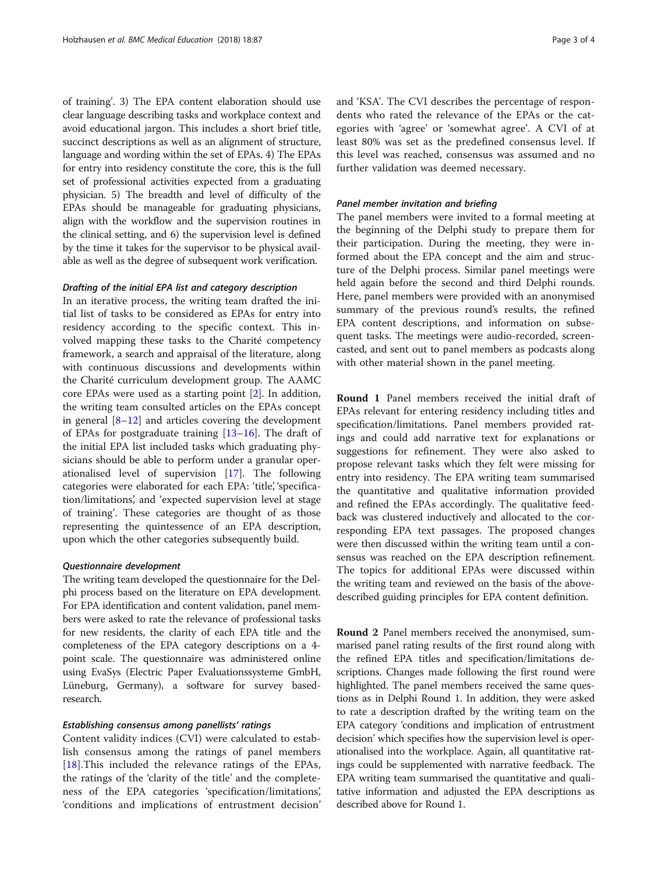of training'. 3) The EPA content elaboration should use clear language describing tasks and workplace context and avoid educational jargon. This includes a short brief title, succinct descriptions as well as an alignment of structure, language and wording within the set of EPAs. 4) The EPAs for entry into residency constitute the core, this is the full set of professional activities expected from a graduating physician. 5) The breadth and level of difficulty of the EPAs should be manageable for graduating physicians, align with the workflow and the supervision routines in the clinical setting, and 6) the supervision level is defined by the time it takes for the supervisor to be physical available as well as the degree of subsequent work verification.

## Drafting of the initial EPA list and category description

In an iterative process, the writing team drafted the initial list of tasks to be considered as EPAs for entry into residency according to the specific context. This involved mapping these tasks to the Charité competency framework, a search and appraisal of the literature, along with continuous discussions and developments within the Charité curriculum development group. The AAMC core EPAs were used as a starting point [\[2\]](#page-3-0). In addition, the writing team consulted articles on the EPAs concept in general  $[8-12]$  $[8-12]$  $[8-12]$  $[8-12]$  $[8-12]$  and articles covering the development of EPAs for postgraduate training [[13](#page-3-0)–[16](#page-3-0)]. The draft of the initial EPA list included tasks which graduating physicians should be able to perform under a granular operationalised level of supervision [[17](#page-3-0)]. The following categories were elaborated for each EPA: 'title', 'specification/limitations', and 'expected supervision level at stage of training'. These categories are thought of as those representing the quintessence of an EPA description, upon which the other categories subsequently build.

## Questionnaire development

The writing team developed the questionnaire for the Delphi process based on the literature on EPA development. For EPA identification and content validation, panel members were asked to rate the relevance of professional tasks for new residents, the clarity of each EPA title and the completeness of the EPA category descriptions on a 4 point scale. The questionnaire was administered online using EvaSys (Electric Paper Evaluationssysteme GmbH, Lüneburg, Germany), a software for survey basedresearch.

## Establishing consensus among panellists' ratings

Content validity indices (CVI) were calculated to establish consensus among the ratings of panel members [[18\]](#page-3-0).This included the relevance ratings of the EPAs, the ratings of the 'clarity of the title' and the completeness of the EPA categories 'specification/limitations', 'conditions and implications of entrustment decision' and 'KSA'. The CVI describes the percentage of respondents who rated the relevance of the EPAs or the categories with 'agree' or 'somewhat agree'. A CVI of at least 80% was set as the predefined consensus level. If this level was reached, consensus was assumed and no further validation was deemed necessary.

## Panel member invitation and briefing

The panel members were invited to a formal meeting at the beginning of the Delphi study to prepare them for their participation. During the meeting, they were informed about the EPA concept and the aim and structure of the Delphi process. Similar panel meetings were held again before the second and third Delphi rounds. Here, panel members were provided with an anonymised summary of the previous round's results, the refined EPA content descriptions, and information on subsequent tasks. The meetings were audio-recorded, screencasted, and sent out to panel members as podcasts along with other material shown in the panel meeting.

Round 1 Panel members received the initial draft of EPAs relevant for entering residency including titles and specification/limitations. Panel members provided ratings and could add narrative text for explanations or suggestions for refinement. They were also asked to propose relevant tasks which they felt were missing for entry into residency. The EPA writing team summarised the quantitative and qualitative information provided and refined the EPAs accordingly. The qualitative feedback was clustered inductively and allocated to the corresponding EPA text passages. The proposed changes were then discussed within the writing team until a consensus was reached on the EPA description refinement. The topics for additional EPAs were discussed within the writing team and reviewed on the basis of the abovedescribed guiding principles for EPA content definition.

Round 2 Panel members received the anonymised, summarised panel rating results of the first round along with the refined EPA titles and specification/limitations descriptions. Changes made following the first round were highlighted. The panel members received the same questions as in Delphi Round 1. In addition, they were asked to rate a description drafted by the writing team on the EPA category 'conditions and implication of entrustment decision' which specifies how the supervision level is operationalised into the workplace. Again, all quantitative ratings could be supplemented with narrative feedback. The EPA writing team summarised the quantitative and qualitative information and adjusted the EPA descriptions as described above for Round 1.